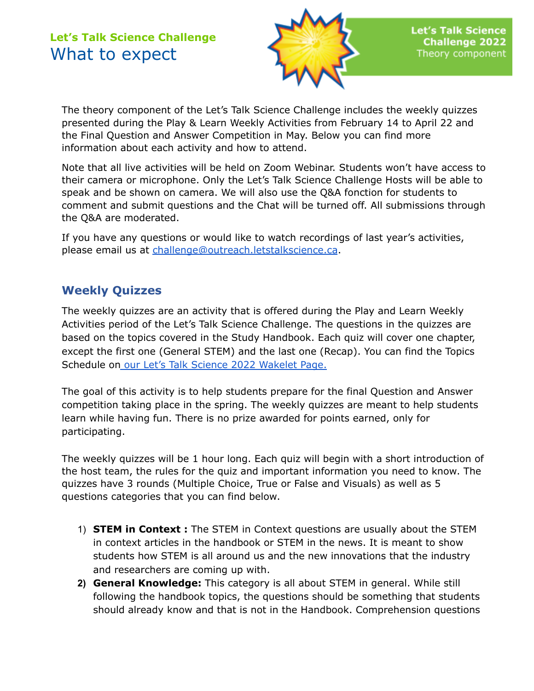

The theory component of the Let's Talk Science Challenge includes the weekly quizzes presented during the Play & Learn Weekly Activities from February 14 to April 22 and the Final Question and Answer Competition in May. Below you can find more information about each activity and how to attend.

Note that all live activities will be held on Zoom Webinar. Students won't have access to their camera or microphone. Only the Let's Talk Science Challenge Hosts will be able to speak and be shown on camera. We will also use the Q&A fonction for students to comment and submit questions and the Chat will be turned off. All submissions through the Q&A are moderated.

If you have any questions or would like to watch recordings of last year's activities, please email us at [challenge@outreach.letstalkscience.ca](mailto:challenge@outreach.letstalkscience.ca).

## **Weekly Quizzes**

The weekly quizzes are an activity that is offered during the Play and Learn Weekly Activities period of the Let's Talk Science Challenge. The questions in the quizzes are based on the topics covered in the Study Handbook. Each quiz will cover one chapter, except the first one (General STEM) and the last one (Recap). You can find the Topics Schedule on our Let's Talk Science 2022 [Wakelet](https://wke.lt/w/s/ZX7pT7) Page.

The goal of this activity is to help students prepare for the final Question and Answer competition taking place in the spring. The weekly quizzes are meant to help students learn while having fun. There is no prize awarded for points earned, only for participating.

The weekly quizzes will be 1 hour long. Each quiz will begin with a short introduction of the host team, the rules for the quiz and important information you need to know. The quizzes have 3 rounds (Multiple Choice, True or False and Visuals) as well as 5 questions categories that you can find below.

- 1) **STEM in Context :** The STEM in Context questions are usually about the STEM in context articles in the handbook or STEM in the news. It is meant to show students how STEM is all around us and the new innovations that the industry and researchers are coming up with.
- **2) General Knowledge:** This category is all about STEM in general. While still following the handbook topics, the questions should be something that students should already know and that is not in the Handbook. Comprehension questions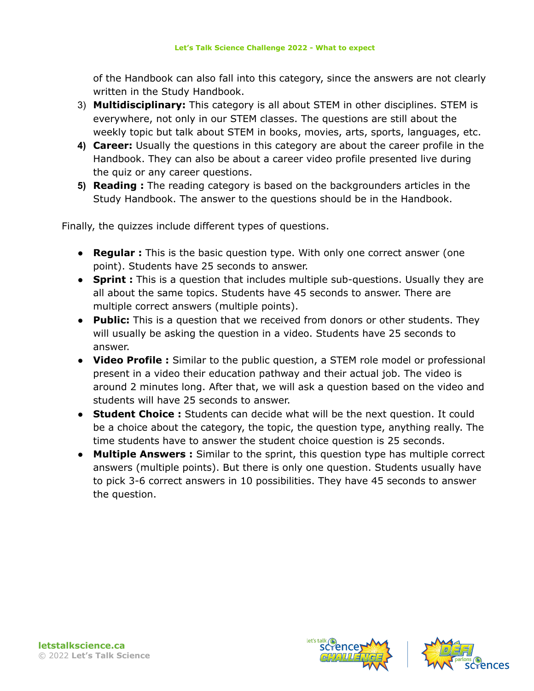of the Handbook can also fall into this category, since the answers are not clearly written in the Study Handbook.

- 3) **Multidisciplinary:** This category is all about STEM in other disciplines. STEM is everywhere, not only in our STEM classes. The questions are still about the weekly topic but talk about STEM in books, movies, arts, sports, languages, etc.
- **4) Career:** Usually the questions in this category are about the career profile in the Handbook. They can also be about a career video profile presented live during the quiz or any career questions.
- **5) Reading :** The reading category is based on the backgrounders articles in the Study Handbook. The answer to the questions should be in the Handbook.

Finally, the quizzes include different types of questions.

- **Regular :** This is the basic question type. With only one correct answer (one point). Students have 25 seconds to answer.
- **Sprint :** This is a question that includes multiple sub-questions. Usually they are all about the same topics. Students have 45 seconds to answer. There are multiple correct answers (multiple points).
- **Public:** This is a question that we received from donors or other students. They will usually be asking the question in a video. Students have 25 seconds to answer.
- **Video Profile :** Similar to the public question, a STEM role model or professional present in a video their education pathway and their actual job. The video is around 2 minutes long. After that, we will ask a question based on the video and students will have 25 seconds to answer.
- **Student Choice :** Students can decide what will be the next question. It could be a choice about the category, the topic, the question type, anything really. The time students have to answer the student choice question is 25 seconds.
- **Multiple Answers :** Similar to the sprint, this question type has multiple correct answers (multiple points). But there is only one question. Students usually have to pick 3-6 correct answers in 10 possibilities. They have 45 seconds to answer the question.





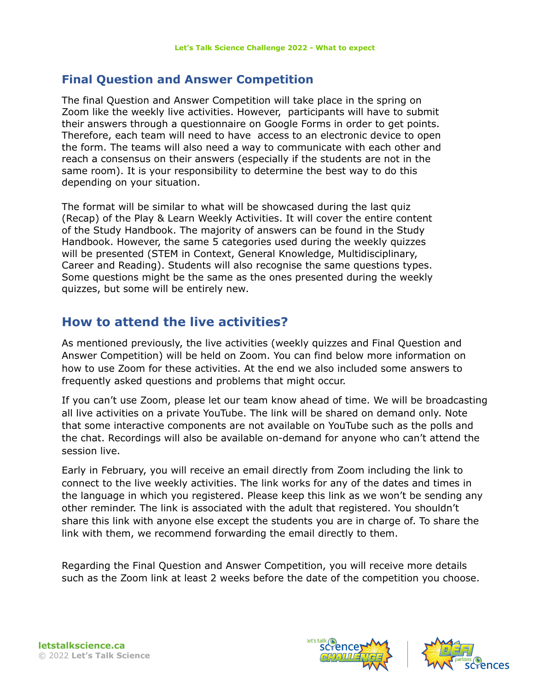#### **Final Question and Answer Competition**

The final Question and Answer Competition will take place in the spring on Zoom like the weekly live activities. However, participants will have to submit their answers through a questionnaire on Google Forms in order to get points. Therefore, each team will need to have access to an electronic device to open the form. The teams will also need a way to communicate with each other and reach a consensus on their answers (especially if the students are not in the same room). It is your responsibility to determine the best way to do this depending on your situation.

The format will be similar to what will be showcased during the last quiz (Recap) of the Play & Learn Weekly Activities. It will cover the entire content of the Study Handbook. The majority of answers can be found in the Study Handbook. However, the same 5 categories used during the weekly quizzes will be presented (STEM in Context, General Knowledge, Multidisciplinary, Career and Reading). Students will also recognise the same questions types. Some questions might be the same as the ones presented during the weekly quizzes, but some will be entirely new.

## **How to attend the live activities?**

As mentioned previously, the live activities (weekly quizzes and Final Question and Answer Competition) will be held on Zoom. You can find below more information on how to use Zoom for these activities. At the end we also included some answers to frequently asked questions and problems that might occur.

If you can't use Zoom, please let our team know ahead of time. We will be broadcasting all live activities on a private YouTube. The link will be shared on demand only. Note that some interactive components are not available on YouTube such as the polls and the chat. Recordings will also be available on-demand for anyone who can't attend the session live.

Early in February, you will receive an email directly from Zoom including the link to connect to the live weekly activities. The link works for any of the dates and times in the language in which you registered. Please keep this link as we won't be sending any other reminder. The link is associated with the adult that registered. You shouldn't share this link with anyone else except the students you are in charge of. To share the link with them, we recommend forwarding the email directly to them.

Regarding the Final Question and Answer Competition, you will receive more details such as the Zoom link at least 2 weeks before the date of the competition you choose.



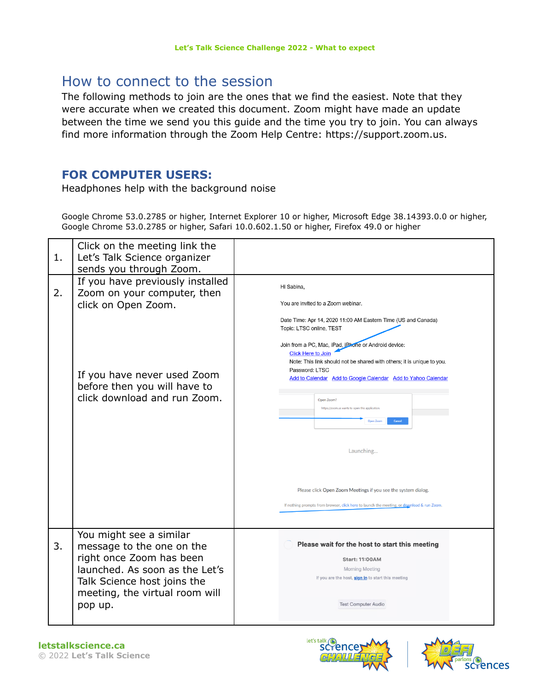## How to connect to the session

The following methods to join are the ones that we find the easiest. Note that they were accurate when we created this document. Zoom might have made an update between the time we send you this guide and the time you try to join. You can always find more information through the Zoom Help Centre: https://support.zoom.us.

## **FOR COMPUTER USERS:**

Headphones help with the background noise

Google Chrome 53.0.2785 or higher, Internet Explorer 10 or higher, Microsoft Edge 38.14393.0.0 or higher, Google Chrome 53.0.2785 or higher, Safari 10.0.602.1.50 or higher, Firefox 49.0 or higher

| 1. | Click on the meeting link the<br>Let's Talk Science organizer<br>sends you through Zoom.                                                                                                       |                                                                                                                                                                                                                                                                                                                                                                                                                                                                                                                                                                                                                                                                   |
|----|------------------------------------------------------------------------------------------------------------------------------------------------------------------------------------------------|-------------------------------------------------------------------------------------------------------------------------------------------------------------------------------------------------------------------------------------------------------------------------------------------------------------------------------------------------------------------------------------------------------------------------------------------------------------------------------------------------------------------------------------------------------------------------------------------------------------------------------------------------------------------|
| 2. | If you have previously installed<br>Zoom on your computer, then<br>click on Open Zoom.<br>If you have never used Zoom<br>before then you will have to<br>click download and run Zoom.          | Hi Sabina,<br>You are invited to a Zoom webinar.<br>Date Time: Apr 14, 2020 11:00 AM Eastern Time (US and Canada)<br>Topic: LTSC online, TEST<br>Join from a PC, Mac, iPad, iPhone or Android device:<br><b>Click Here to Join</b><br>Note: This link should not be shared with others; it is unique to you.<br>Password: LTSC<br>Add to Calendar Add to Google Calendar Add to Yahoo Calendar<br>Open Zoom?<br>https://zoom.us wants to open this application<br>Open Zoon<br>Cancel<br>Launching<br>Please click Open Zoom Meetings if you see the system dialog.<br>If nothing prompts from browser, click here to launch the meeting, or download & run Zoom. |
| 3. | You might see a similar<br>message to the one on the<br>right once Zoom has been<br>launched. As soon as the Let's<br>Talk Science host joins the<br>meeting, the virtual room will<br>pop up. | Please wait for the host to start this meeting<br><b>Start: 11:00AM</b><br><b>Morning Meeting</b><br>If you are the host, <b>sign in</b> to start this meeting<br><b>Test Computer Audio</b>                                                                                                                                                                                                                                                                                                                                                                                                                                                                      |



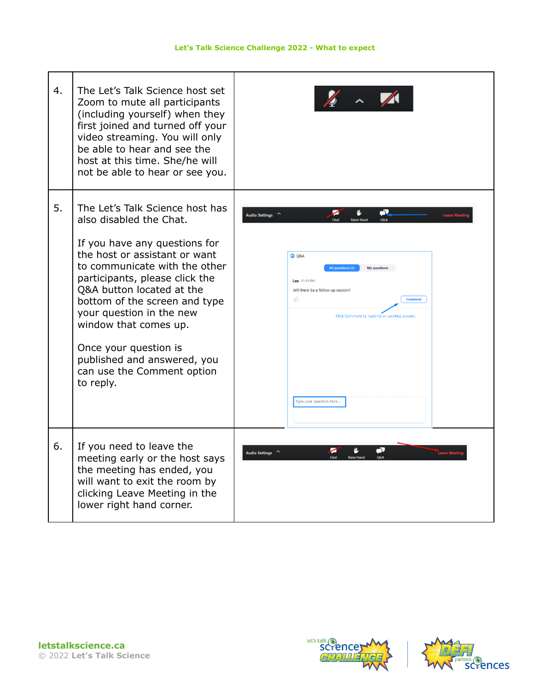| 4. | The Let's Talk Science host set<br>Zoom to mute all participants<br>(including yourself) when they<br>first joined and turned off your<br>video streaming. You will only<br>be able to hear and see the<br>host at this time. She/he will<br>not be able to hear or see you.                                                                                                                                          |                                                                                                                                                                                                                                         |
|----|-----------------------------------------------------------------------------------------------------------------------------------------------------------------------------------------------------------------------------------------------------------------------------------------------------------------------------------------------------------------------------------------------------------------------|-----------------------------------------------------------------------------------------------------------------------------------------------------------------------------------------------------------------------------------------|
| 5. | The Let's Talk Science host has<br>also disabled the Chat.<br>If you have any questions for<br>the host or assistant or want<br>to communicate with the other<br>participants, please click the<br>Q&A button located at the<br>bottom of the screen and type<br>your question in the new<br>window that comes up.<br>Once your question is<br>published and answered, you<br>can use the Comment option<br>to reply. | J.<br>Audio Settings ^<br>$O$ Q&A<br>All questions (1)<br><b>My questions</b><br>Lee 01:54 PM<br>Will there be a follow-up session?<br>īĠ<br>C <sub>OB</sub><br>Click Comment to reply to an existing answer<br>Type your question here |
| 6. | If you need to leave the<br>meeting early or the host says<br>the meeting has ended, you<br>will want to exit the room by<br>clicking Leave Meeting in the<br>lower right hand corner.                                                                                                                                                                                                                                | ó,<br>Audio Settings ^                                                                                                                                                                                                                  |





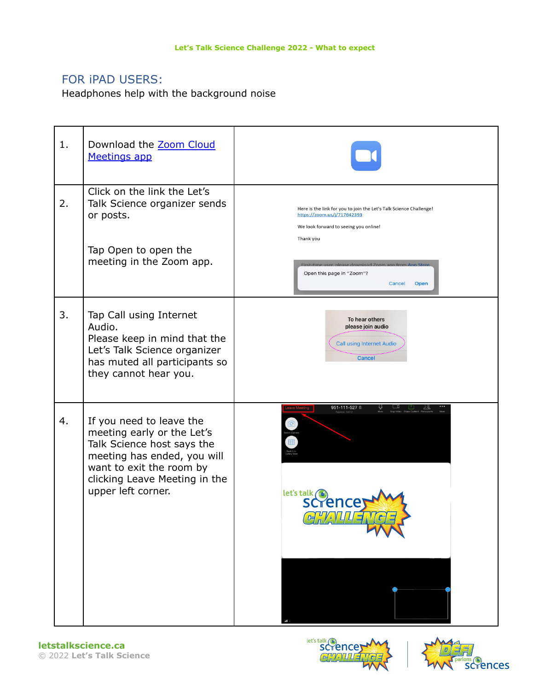## FOR iPAD USERS:

Headphones help with the background noise

| 1. | Download the Zoom Cloud<br>Meetings app                                                                                                                                                                |                                                                                                                                                                                                                                                                   |
|----|--------------------------------------------------------------------------------------------------------------------------------------------------------------------------------------------------------|-------------------------------------------------------------------------------------------------------------------------------------------------------------------------------------------------------------------------------------------------------------------|
| 2. | Click on the link the Let's<br>Talk Science organizer sends<br>or posts.<br>Tap Open to open the<br>meeting in the Zoom app.                                                                           | Here is the link for you to join the Let's Talk Science Challenge!<br>https://zoom.us/j/717642393<br>We look forward to seeing you online!<br>Thank you<br>First-time user, please download Zoom app from App Stor<br>Open this page in "Zoom"?<br>Open<br>Cancel |
| 3. | Tap Call using Internet<br>Audio.<br>Please keep in mind that the<br>Let's Talk Science organizer<br>has muted all participants so<br>they cannot hear you.                                            | To hear others<br>please join audio<br><b>Call using Internet Audio</b><br><b>Cancel</b>                                                                                                                                                                          |
| 4. | If you need to leave the<br>meeting early or the Let's<br>Talk Science host says the<br>meeting has ended, you will<br>want to exit the room by<br>clicking Leave Meeting in the<br>upper left corner. | 951-111-527 <sup>@</sup><br>let's talk (<br>scrence<br>GHALLENGE,                                                                                                                                                                                                 |



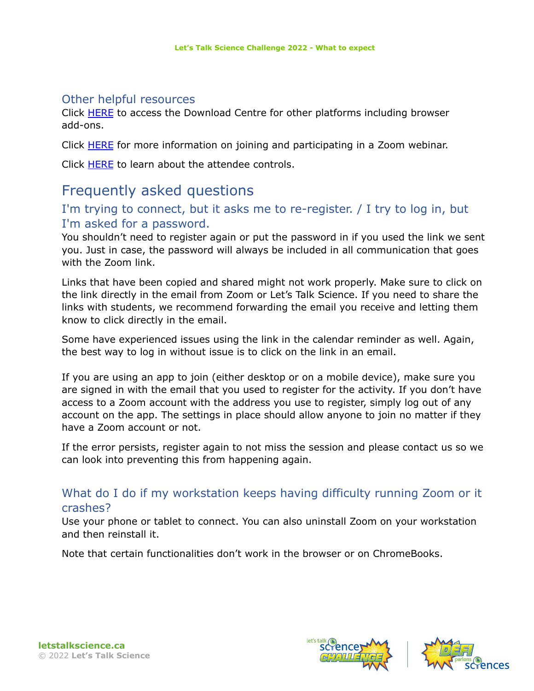#### Other helpful resources

Click [HERE](https://zoom.us/download?fbclid=IwAR0KXcS06BbZL7Tuh-8pCjI6rHb2oAB1btifUo8GwrHct4DNBlwQd7Gr09U) to access the Download Centre for other platforms including browser add-ons.

Click [HERE](https://support.zoom.us/hc/en-us/articles/115004954946-Joining-and-participating-in-a-webinar-attendee-) for more information on joining and participating in a Zoom webinar.

Click **[HERE](https://support.zoom.us/hc/en-us/articles/200941109-Attendee-Controls-in-a-Meeting)** to learn about the attendee controls.

# Frequently asked questions

## I'm trying to connect, but it asks me to re-register. / I try to log in, but I'm asked for a password.

You shouldn't need to register again or put the password in if you used the link we sent you. Just in case, the password will always be included in all communication that goes with the Zoom link.

Links that have been copied and shared might not work properly. Make sure to click on the link directly in the email from Zoom or Let's Talk Science. If you need to share the links with students, we recommend forwarding the email you receive and letting them know to click directly in the email.

Some have experienced issues using the link in the calendar reminder as well. Again, the best way to log in without issue is to click on the link in an email.

If you are using an app to join (either desktop or on a mobile device), make sure you are signed in with the email that you used to register for the activity. If you don't have access to a Zoom account with the address you use to register, simply log out of any account on the app. The settings in place should allow anyone to join no matter if they have a Zoom account or not.

If the error persists, register again to not miss the session and please contact us so we can look into preventing this from happening again.

### What do I do if my workstation keeps having difficulty running Zoom or it crashes?

Use your phone or tablet to connect. You can also uninstall Zoom on your workstation and then reinstall it.

Note that certain functionalities don't work in the browser or on ChromeBooks.



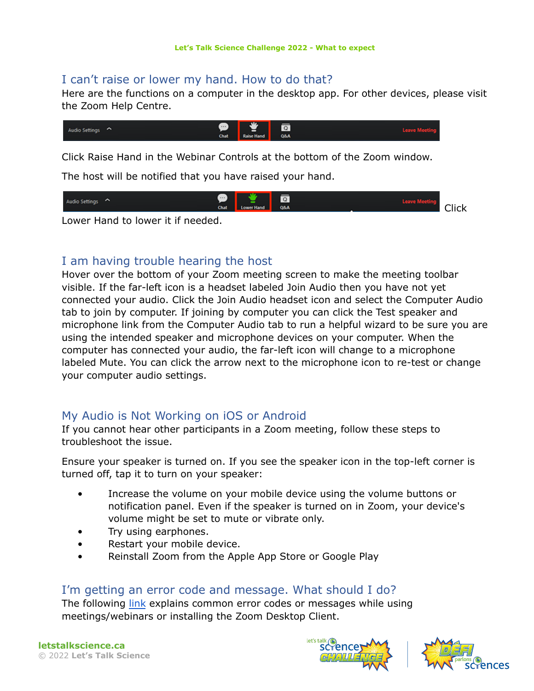#### I can't raise or lower my hand. How to do that?

Here are the functions on a computer in the desktop app. For other devices, please visit the Zoom Help Centre.



Click Raise Hand in the Webinar Controls at the bottom of the Zoom window.

The host will be notified that you have raised your hand.



Lower Hand to lower it if needed.

#### I am having trouble hearing the host

Hover over the bottom of your Zoom meeting screen to make the meeting toolbar visible. If the far-left icon is a headset labeled Join Audio then you have not yet connected your audio. Click the Join Audio headset icon and select the Computer Audio tab to join by computer. If joining by computer you can click the Test speaker and microphone link from the Computer Audio tab to run a helpful wizard to be sure you are using the intended speaker and microphone devices on your computer. When the computer has connected your audio, the far-left icon will change to a microphone labeled Mute. You can click the arrow next to the microphone icon to re-test or change your computer audio settings.

## My Audio is Not Working on iOS or Android

If you cannot hear other participants in a Zoom meeting, follow these steps to troubleshoot the issue.

Ensure your speaker is turned on. If you see the speaker icon in the top-left corner is turned off, tap it to turn on your speaker:

- Increase the volume on your mobile device using the volume buttons or notification panel. Even if the speaker is turned on in Zoom, your device's volume might be set to mute or vibrate only.
- Try using earphones.
- Restart your mobile device.
- Reinstall Zoom from the Apple App Store or Google Play

#### I'm getting an error code and message. What should I do?

The following *[link](https://support.zoom.us/hc/en-us/articles/204731895-Error-codes-and-messages-for-meetings-and-webinars)* explains common error codes or messages while using meetings/webinars or installing the Zoom Desktop Client.